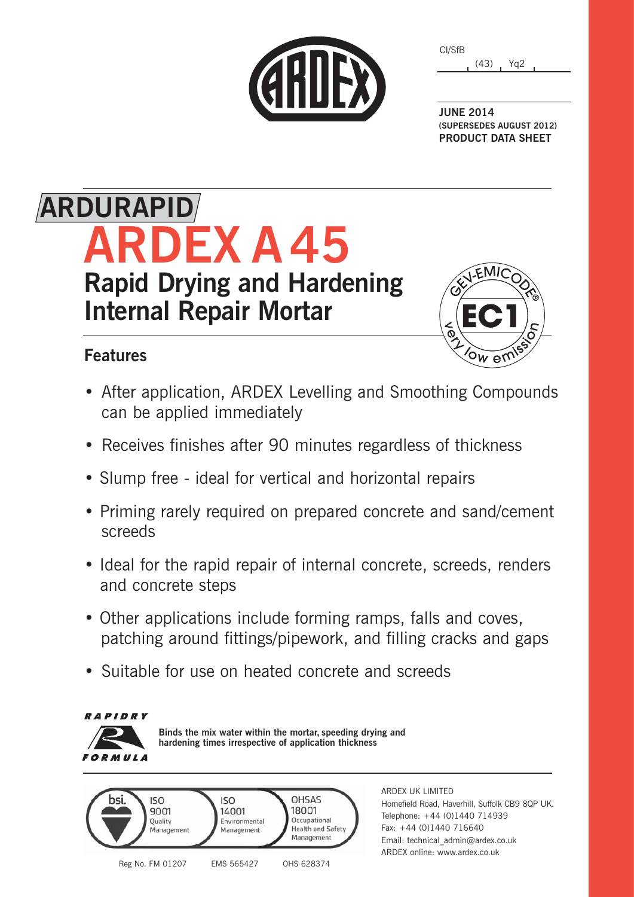|  | CHILEX |
|--|--------|
|  |        |

| CI/SfB |      |                 |  |
|--------|------|-----------------|--|
|        | (43) | Yg <sub>2</sub> |  |

**JUNE 2014 (SUPERSEDES AUGUST 2012) PRODUCT DATA SHEET**

## **ARDEX A 45 Rapid Drying and Hardening Internal Repair Mortar ARDURAPID**

### **Features**



- After application, ARDEX Levelling and Smoothing Compounds can be applied immediately
- Receives finishes after 90 minutes regardless of thickness
- Slump free ideal for vertical and horizontal repairs
- Priming rarely required on prepared concrete and sand/cement screeds
- Ideal for the rapid repair of internal concrete, screeds, renders and concrete steps
- Other applications include forming ramps, falls and coves, patching around fittings/pipework, and filling cracks and gaps
- Suitable for use on heated concrete and screeds



Reg No. FM 01207 EMS 565427 OHS 628374

ARDEX UK LIMITED Homefield Road, Haverhill, Suffolk CB9 8QP UK. Telephone: +44 (0)1440 714939 Fax: +44 (0)1440 716640 Email: technical\_admin@ardex.co.uk ARDEX online: www.ardex.co.uk